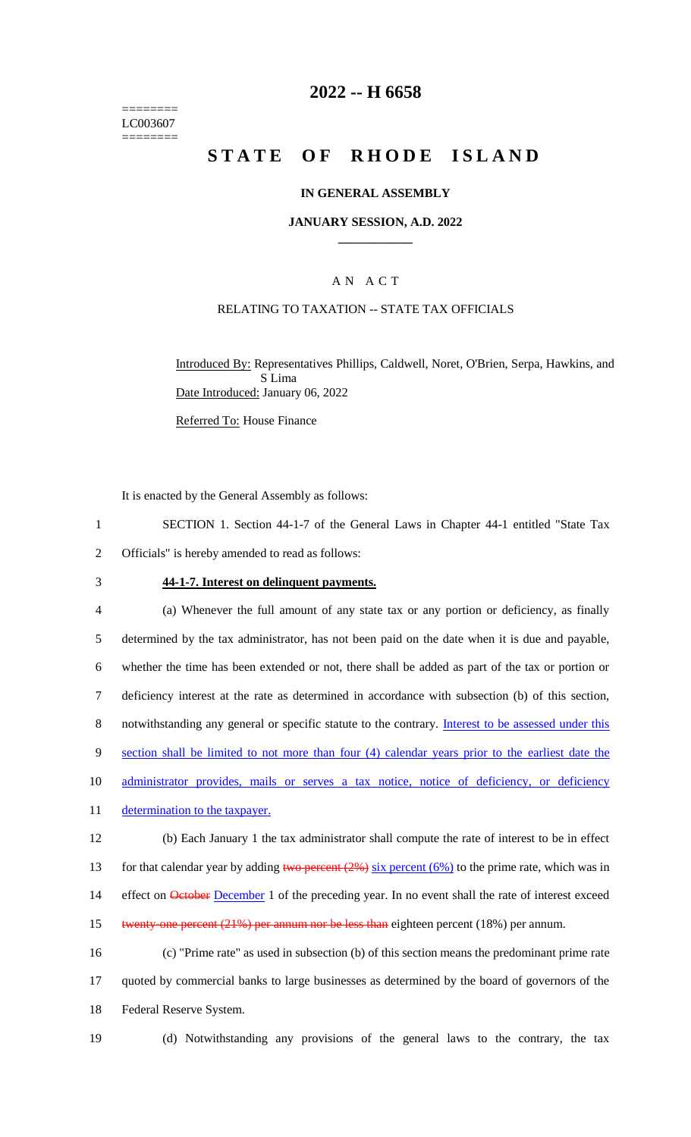======== LC003607 ========

## **2022 -- H 6658**

# **STATE OF RHODE ISLAND**

#### **IN GENERAL ASSEMBLY**

#### **JANUARY SESSION, A.D. 2022 \_\_\_\_\_\_\_\_\_\_\_\_**

## A N A C T

### RELATING TO TAXATION -- STATE TAX OFFICIALS

Introduced By: Representatives Phillips, Caldwell, Noret, O'Brien, Serpa, Hawkins, and S Lima Date Introduced: January 06, 2022

Referred To: House Finance

It is enacted by the General Assembly as follows:

1 SECTION 1. Section 44-1-7 of the General Laws in Chapter 44-1 entitled "State Tax 2 Officials" is hereby amended to read as follows:

#### 3 **44-1-7. Interest on delinquent payments.**

4 (a) Whenever the full amount of any state tax or any portion or deficiency, as finally 5 determined by the tax administrator, has not been paid on the date when it is due and payable, 6 whether the time has been extended or not, there shall be added as part of the tax or portion or 7 deficiency interest at the rate as determined in accordance with subsection (b) of this section, 8 notwithstanding any general or specific statute to the contrary. Interest to be assessed under this 9 section shall be limited to not more than four (4) calendar years prior to the earliest date the 10 administrator provides, mails or serves a tax notice, notice of deficiency, or deficiency 11 determination to the taxpayer. 12 (b) Each January 1 the tax administrator shall compute the rate of interest to be in effect 13 for that calendar year by adding two percent  $(2\%)$  six percent  $(6\%)$  to the prime rate, which was in 14 effect on **October December** 1 of the preceding year. In no event shall the rate of interest exceed 15 twenty-one percent (21%) per annum nor be less than eighteen percent (18%) per annum.

16 (c) "Prime rate" as used in subsection (b) of this section means the predominant prime rate 17 quoted by commercial banks to large businesses as determined by the board of governors of the 18 Federal Reserve System.

- 
- 19 (d) Notwithstanding any provisions of the general laws to the contrary, the tax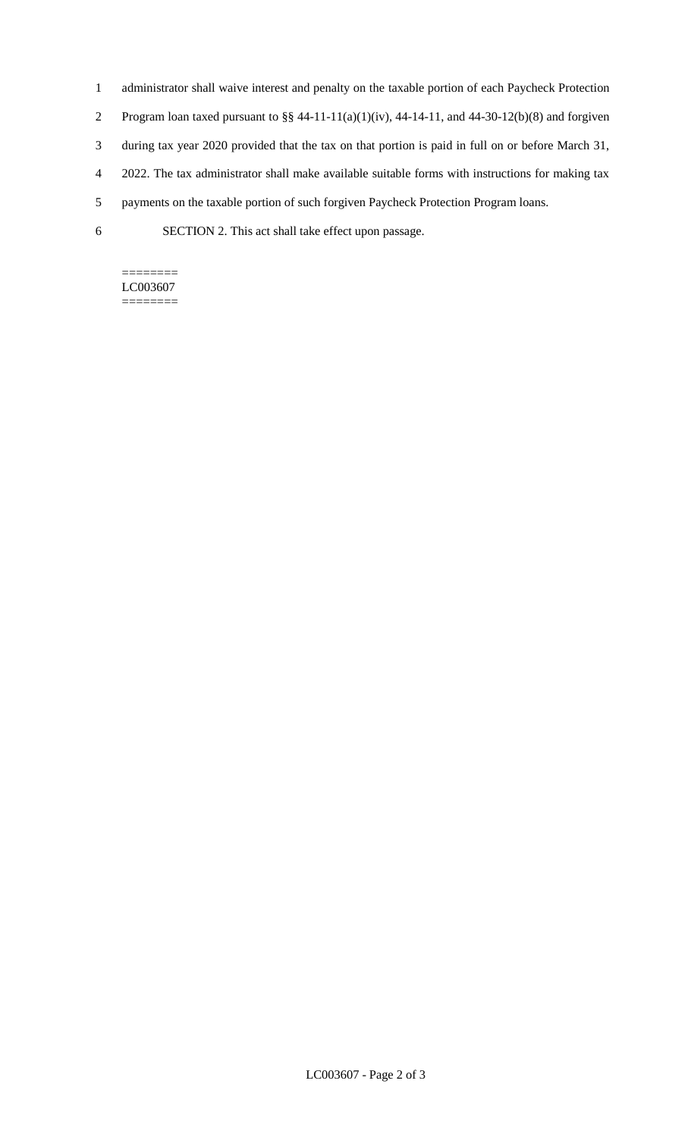- 1 administrator shall waive interest and penalty on the taxable portion of each Paycheck Protection
- 2 Program loan taxed pursuant to  $\S § 44-11-11(a)(1)(iv)$ , 44-14-11, and 44-30-12(b)(8) and forgiven
- 3 during tax year 2020 provided that the tax on that portion is paid in full on or before March 31,
- 4 2022. The tax administrator shall make available suitable forms with instructions for making tax
- 5 payments on the taxable portion of such forgiven Paycheck Protection Program loans.
- 6 SECTION 2. This act shall take effect upon passage.

#### ======== LC003607

========